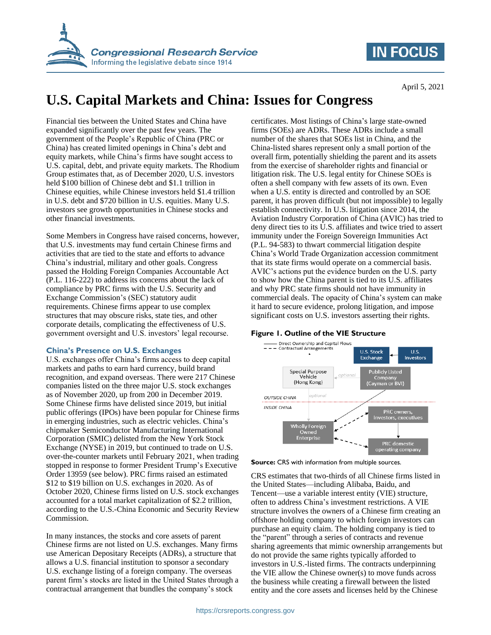

## **IN FOCUS**

# **U.S. Capital Markets and China: Issues for Congress**

Financial ties between the United States and China have expanded significantly over the past few years. The government of the People's Republic of China (PRC or China) has created limited openings in China's debt and equity markets, while China's firms have sought access to U.S. capital, debt, and private equity markets. The Rhodium Group estimates that, as of December 2020, U.S. investors held \$100 billion of Chinese debt and \$1.1 trillion in Chinese equities, while Chinese investors held \$1.4 trillion in U.S. debt and \$720 billion in U.S. equities. Many U.S. investors see growth opportunities in Chinese stocks and other financial investments.

Some Members in Congress have raised concerns, however, that U.S. investments may fund certain Chinese firms and activities that are tied to the state and efforts to advance China's industrial, military and other goals. Congress passed the Holding Foreign Companies Accountable Act (P.L. 116-222) to address its concerns about the lack of compliance by PRC firms with the U.S. Security and Exchange Commission's (SEC) statutory audit requirements. Chinese firms appear to use complex structures that may obscure risks, state ties, and other corporate details, complicating the effectiveness of U.S. government oversight and U.S. investors' legal recourse.

#### **China's Presence on U.S. Exchanges**

U.S. exchanges offer China's firms access to deep capital markets and paths to earn hard currency, build brand recognition, and expand overseas. There were 217 Chinese companies listed on the three major U.S. stock exchanges as of November 2020, up from 200 in December 2019. Some Chinese firms have delisted since 2019, but initial public offerings (IPOs) have been popular for Chinese firms in emerging industries, such as electric vehicles. China's chipmaker Semiconductor Manufacturing International Corporation (SMIC) delisted from the New York Stock Exchange (NYSE) in 2019, but continued to trade on U.S. over-the-counter markets until February 2021, when trading stopped in response to former President Trump's Executive Order 13959 (see below). PRC firms raised an estimated \$12 to \$19 billion on U.S. exchanges in 2020. As of October 2020, Chinese firms listed on U.S. stock exchanges accounted for a total market capitalization of \$2.2 trillion, according to the U.S.-China Economic and Security Review Commission.

In many instances, the stocks and core assets of parent Chinese firms are not listed on U.S. exchanges. Many firms use American Depositary Receipts (ADRs), a structure that allows a U.S. financial institution to sponsor a secondary U.S. exchange listing of a foreign company. The overseas parent firm's stocks are listed in the United States through a contractual arrangement that bundles the company's stock

certificates. Most listings of China's large state-owned firms (SOEs) are ADRs. These ADRs include a small number of the shares that SOEs list in China, and the China-listed shares represent only a small portion of the overall firm, potentially shielding the parent and its assets from the exercise of shareholder rights and financial or litigation risk. The U.S. legal entity for Chinese SOEs is often a shell company with few assets of its own. Even when a U.S. entity is directed and controlled by an SOE parent, it has proven difficult (but not impossible) to legally establish connectivity. In U.S. litigation since 2014, the Aviation Industry Corporation of China (AVIC) has tried to deny direct ties to its U.S. affiliates and twice tried to assert immunity under the Foreign Sovereign Immunities Act (P.L. 94-583) to thwart commercial litigation despite China's World Trade Organization accession commitment that its state firms would operate on a commercial basis. AVIC's actions put the evidence burden on the U.S. party to show how the China parent is tied to its U.S. affiliates and why PRC state firms should not have immunity in commercial deals. The opacity of China's system can make it hard to secure evidence, prolong litigation, and impose significant costs on U.S. investors asserting their rights.





CRS estimates that two-thirds of all Chinese firms listed in the United States—including Alibaba, Baidu, and Tencent—use a variable interest entity (VIE) structure, often to address China's investment restrictions. A VIE structure involves the owners of a Chinese firm creating an offshore holding company to which foreign investors can purchase an equity claim. The holding company is tied to the "parent" through a series of contracts and revenue sharing agreements that mimic ownership arrangements but do not provide the same rights typically afforded to investors in U.S.-listed firms. The contracts underpinning the VIE allow the Chinese owner(s) to move funds across the business while creating a firewall between the listed entity and the core assets and licenses held by the Chinese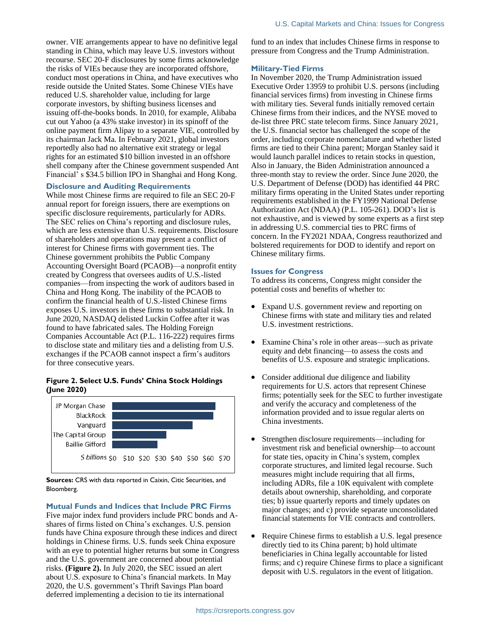owner. VIE arrangements appear to have no definitive legal standing in China, which may leave U.S. investors without recourse. SEC 20-F disclosures by some firms acknowledge the risks of VIEs because they are incorporated offshore, conduct most operations in China, and have executives who reside outside the United States. Some Chinese VIEs have reduced U.S. shareholder value, including for large corporate investors, by shifting business licenses and issuing off-the-books bonds. In 2010, for example, Alibaba cut out Yahoo (a 43% stake investor) in its spinoff of the online payment firm Alipay to a separate VIE, controlled by its chairman Jack Ma. In February 2021, global investors reportedly also had no alternative exit strategy or legal rights for an estimated \$10 billion invested in an offshore shell company after the Chinese government suspended Ant Financial' s \$34.5 billion IPO in Shanghai and Hong Kong.

#### **Disclosure and Auditing Requirements**

While most Chinese firms are required to file an SEC 20-F annual report for foreign issuers, there are exemptions on specific disclosure requirements, particularly for ADRs. The SEC relies on China's reporting and disclosure rules, which are less extensive than U.S. requirements. Disclosure of shareholders and operations may present a conflict of interest for Chinese firms with government ties. The Chinese government prohibits the Public Company Accounting Oversight Board (PCAOB)—a nonprofit entity created by Congress that oversees audits of U.S.-listed companies—from inspecting the work of auditors based in China and Hong Kong. The inability of the PCAOB to confirm the financial health of U.S.-listed Chinese firms exposes U.S. investors in these firms to substantial risk. In June 2020, NASDAQ delisted Luckin Coffee after it was found to have fabricated sales. The Holding Foreign Companies Accountable Act (P.L. 116-222) requires firms to disclose state and military ties and a delisting from U.S. exchanges if the PCAOB cannot inspect a firm's auditors for three consecutive years.

### **Figure 2. Select U.S. Funds' China Stock Holdings (June 2020)**



**Sources:** CRS with data reported in Caixin, Citic Securities, and Bloomberg.

#### **Mutual Funds and Indices that Include PRC Firms**

Five major index fund providers include PRC bonds and Ashares of firms listed on China's exchanges. U.S. pension funds have China exposure through these indices and direct holdings in Chinese firms. U.S. funds seek China exposure with an eye to potential higher returns but some in Congress and the U.S. government are concerned about potential risks. **(Figure 2).** In July 2020, the SEC issued an alert about U.S. exposure to China's financial markets. In May 2020, the U.S. government's Thrift Savings Plan board deferred implementing a decision to tie its international

fund to an index that includes Chinese firms in response to pressure from Congress and the Trump Administration.

#### **Military-Tied Firms**

In November 2020, the Trump Administration issued Executive Order 13959 to prohibit U.S. persons (including financial services firms) from investing in Chinese firms with military ties. Several funds initially removed certain Chinese firms from their indices, and the NYSE moved to de-list three PRC state telecom firms. Since January 2021, the U.S. financial sector has challenged the scope of the order, including corporate nomenclature and whether listed firms are tied to their China parent; Morgan Stanley said it would launch parallel indices to retain stocks in question, Also in January, the Biden Administration announced a three-month stay to review the order. Since June 2020, the U.S. Department of Defense (DOD) has identified 44 PRC military firms operating in the United States under reporting requirements established in the FY1999 National Defense Authorization Act (NDAA) (P.L. 105-261). DOD's list is not exhaustive, and is viewed by some experts as a first step in addressing U.S. commercial ties to PRC firms of concern. In the FY2021 NDAA, Congress reauthorized and bolstered requirements for DOD to identify and report on Chinese military firms.

#### **Issues for Congress**

To address its concerns, Congress might consider the potential costs and benefits of whether to:

- Expand U.S. government review and reporting on Chinese firms with state and military ties and related U.S. investment restrictions.
- Examine China's role in other areas—such as private equity and debt financing—to assess the costs and benefits of U.S. exposure and strategic implications.
- Consider additional due diligence and liability requirements for U.S. actors that represent Chinese firms; potentially seek for the SEC to further investigate and verify the accuracy and completeness of the information provided and to issue regular alerts on China investments.
- Strengthen disclosure requirements—including for investment risk and beneficial ownership—to account for state ties, opacity in China's system, complex corporate structures, and limited legal recourse. Such measures might include requiring that all firms, including ADRs, file a 10K equivalent with complete details about ownership, shareholding, and corporate ties; b) issue quarterly reports and timely updates on major changes; and c) provide separate unconsolidated financial statements for VIE contracts and controllers.
- Require Chinese firms to establish a U.S. legal presence directly tied to its China parent; b) hold ultimate beneficiaries in China legally accountable for listed firms; and c) require Chinese firms to place a significant deposit with U.S. regulators in the event of litigation.